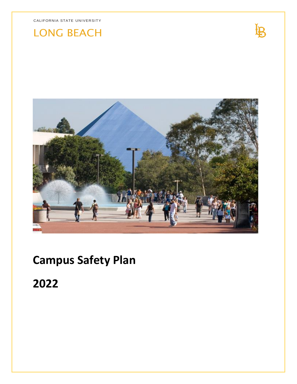# LONG BEACH



 $\mathbf{B}$ 

# **Campus Safety Plan**

**2022**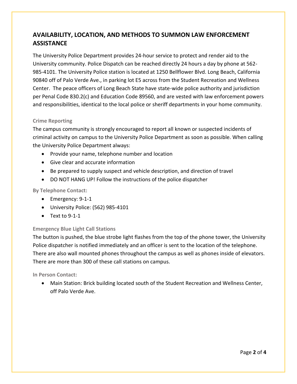# **AVAILABILITY, LOCATION, AND METHODS TO SUMMON LAW ENFORCEMENT ASSISTANCE**

The University Police Department provides 24-hour service to protect and render aid to the University community. Police Dispatch can be reached directly 24 hours a day by phone at 562- 985-4101. The University Police station is located at 1250 Bellflower Blvd. Long Beach, California 90840 off of Palo Verde Ave., in parking lot E5 across from the Student Recreation and Wellness Center. The peace officers of Long Beach State have state-wide police authority and jurisdiction per Penal Code 830.2(c) and Education Code 89560, and are vested with law enforcement powers and responsibilities, identical to the local police or sheriff departments in your home community.

## **Crime Reporting**

The campus community is strongly encouraged to report all known or suspected incidents of criminal activity on campus to the University Police Department as soon as possible. When calling the University Police Department always:

- Provide your name, telephone number and location
- Give clear and accurate information
- Be prepared to supply suspect and vehicle description, and direction of travel
- DO NOT HANG UP! Follow the instructions of the police dispatcher

## **By Telephone Contact:**

- Emergency: 9-1-1
- University Police: (562) 985-4101
- $\bullet$  Text to 9-1-1

## **Emergency Blue Light Call Stations**

The button is pushed, the blue strobe light flashes from the top of the phone tower, the University Police dispatcher is notified immediately and an officer is sent to the location of the telephone. There are also wall mounted phones throughout the campus as well as phones inside of elevators. There are more than 300 of these call stations on campus.

**In Person Contact:** 

 Main Station: Brick building located south of the Student Recreation and Wellness Center, off Palo Verde Ave.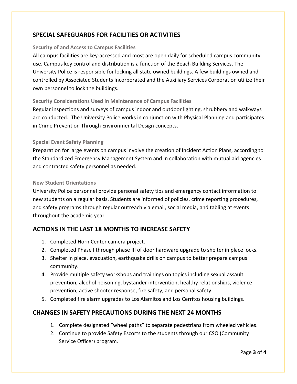# **SPECIAL SAFEGUARDS FOR FACILITIES OR ACTIVITIES**

#### **Security of and Access to Campus Facilities**

All campus facilities are key-accessed and most are open daily for scheduled campus community use. Campus key control and distribution is a function of the Beach Building Services. The University Police is responsible for locking all state owned buildings. A few buildings owned and controlled by Associated Students Incorporated and the Auxiliary Services Corporation utilize their own personnel to lock the buildings.

## **Security Considerations Used in Maintenance of Campus Facilities**

Regular inspections and surveys of campus indoor and outdoor lighting, shrubbery and walkways are conducted. The University Police works in conjunction with Physical Planning and participates in Crime Prevention Through Environmental Design concepts.

#### **Special Event Safety Planning**

Preparation for large events on campus involve the creation of Incident Action Plans, according to the Standardized Emergency Management System and in collaboration with mutual aid agencies and contracted safety personnel as needed.

#### **New Student Orientations**

University Police personnel provide personal safety tips and emergency contact information to new students on a regular basis. Students are informed of policies, crime reporting procedures, and safety programs through regular outreach via email, social media, and tabling at events throughout the academic year.

## **ACTIONS IN THE LAST 18 MONTHS TO INCREASE SAFETY**

- 1. Completed Horn Center camera project.
- 2. Completed Phase I through phase III of door hardware upgrade to shelter in place locks.
- 3. Shelter in place, evacuation, earthquake drills on campus to better prepare campus community.
- 4. Provide multiple safety workshops and trainings on topics including sexual assault prevention, alcohol poisoning, bystander intervention, healthy relationships, violence prevention, active shooter response, fire safety, and personal safety.
- 5. Completed fire alarm upgrades to Los Alamitos and Los Cerritos housing buildings.

## **CHANGES IN SAFETY PRECAUTIONS DURING THE NEXT 24 MONTHS**

- 1. Complete designated "wheel paths" to separate pedestrians from wheeled vehicles.
- 2. Continue to provide Safety Escorts to the students through our CSO (Community Service Officer) program.